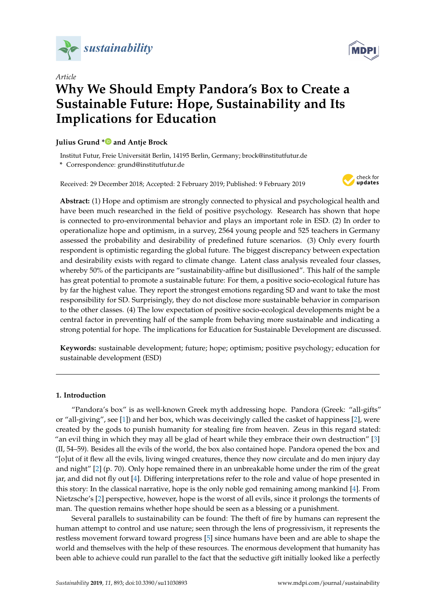



# *Article* **Why We Should Empty Pandora's Box to Create a Sustainable Future: Hope, Sustainability and Its Implications for Education**

# **Julius Grund [\\*](https://orcid.org/0000-0003-2128-8800) and Antje Brock**

Institut Futur, Freie Universität Berlin, 14195 Berlin, Germany; brock@institutfutur.de **\*** Correspondence: grund@institutfutur.de

Received: 29 December 2018; Accepted: 2 February 2019; Published: 9 February 2019



**Abstract:** (1) Hope and optimism are strongly connected to physical and psychological health and have been much researched in the field of positive psychology. Research has shown that hope is connected to pro-environmental behavior and plays an important role in ESD. (2) In order to operationalize hope and optimism, in a survey, 2564 young people and 525 teachers in Germany assessed the probability and desirability of predefined future scenarios. (3) Only every fourth respondent is optimistic regarding the global future. The biggest discrepancy between expectation and desirability exists with regard to climate change. Latent class analysis revealed four classes, whereby 50% of the participants are "sustainability-affine but disillusioned". This half of the sample has great potential to promote a sustainable future: For them, a positive socio-ecological future has by far the highest value. They report the strongest emotions regarding SD and want to take the most responsibility for SD. Surprisingly, they do not disclose more sustainable behavior in comparison to the other classes. (4) The low expectation of positive socio-ecological developments might be a central factor in preventing half of the sample from behaving more sustainable and indicating a strong potential for hope. The implications for Education for Sustainable Development are discussed.

**Keywords:** sustainable development; future; hope; optimism; positive psychology; education for sustainable development (ESD)

# **1. Introduction**

"Pandora's box" is as well-known Greek myth addressing hope. Pandora (Greek: "all-gifts" or "all-giving", see [\[1\]](#page-15-0)) and her box, which was deceivingly called the casket of happiness [\[2\]](#page-15-1), were created by the gods to punish humanity for stealing fire from heaven. Zeus in this regard stated: "an evil thing in which they may all be glad of heart while they embrace their own destruction" [\[3\]](#page-15-2) (II, 54–59). Besides all the evils of the world, the box also contained hope. Pandora opened the box and "[o]ut of it flew all the evils, living winged creatures, thence they now circulate and do men injury day and night" [\[2\]](#page-15-1) (p. 70). Only hope remained there in an unbreakable home under the rim of the great jar, and did not fly out [\[4\]](#page-15-3). Differing interpretations refer to the role and value of hope presented in this story: In the classical narrative, hope is the only noble god remaining among mankind [\[4\]](#page-15-3). From Nietzsche's [\[2\]](#page-15-1) perspective, however, hope is the worst of all evils, since it prolongs the torments of man. The question remains whether hope should be seen as a blessing or a punishment.

Several parallels to sustainability can be found: The theft of fire by humans can represent the human attempt to control and use nature; seen through the lens of progressivism, it represents the restless movement forward toward progress [\[5\]](#page-15-4) since humans have been and are able to shape the world and themselves with the help of these resources. The enormous development that humanity has been able to achieve could run parallel to the fact that the seductive gift initially looked like a perfectly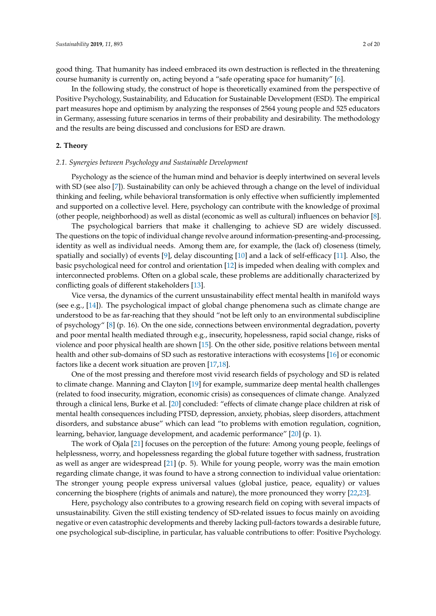good thing. That humanity has indeed embraced its own destruction is reflected in the threatening course humanity is currently on, acting beyond a "safe operating space for humanity" [\[6\]](#page-15-5).

In the following study, the construct of hope is theoretically examined from the perspective of Positive Psychology, Sustainability, and Education for Sustainable Development (ESD). The empirical part measures hope and optimism by analyzing the responses of 2564 young people and 525 educators in Germany, assessing future scenarios in terms of their probability and desirability. The methodology and the results are being discussed and conclusions for ESD are drawn.

#### **2. Theory**

## *2.1. Synergies between Psychology and Sustainable Development*

Psychology as the science of the human mind and behavior is deeply intertwined on several levels with SD (see also [\[7\]](#page-15-6)). Sustainability can only be achieved through a change on the level of individual thinking and feeling, while behavioral transformation is only effective when sufficiently implemented and supported on a collective level. Here, psychology can contribute with the knowledge of proximal (other people, neighborhood) as well as distal (economic as well as cultural) influences on behavior [\[8\]](#page-16-0).

The psychological barriers that make it challenging to achieve SD are widely discussed. The questions on the topic of individual change revolve around information-presenting-and-processing, identity as well as individual needs. Among them are, for example, the (lack of) closeness (timely, spatially and socially) of events [\[9\]](#page-16-1), delay discounting [\[10\]](#page-16-2) and a lack of self-efficacy [\[11\]](#page-16-3). Also, the basic psychological need for control and orientation [\[12\]](#page-16-4) is impeded when dealing with complex and interconnected problems. Often on a global scale, these problems are additionally characterized by conflicting goals of different stakeholders [\[13\]](#page-16-5).

Vice versa, the dynamics of the current unsustainability effect mental health in manifold ways (see e.g., [\[14\]](#page-16-6)). The psychological impact of global change phenomena such as climate change are understood to be as far-reaching that they should "not be left only to an environmental subdiscipline of psychology" [\[8\]](#page-16-0) (p. 16). On the one side, connections between environmental degradation, poverty and poor mental health mediated through e.g., insecurity, hopelessness, rapid social change, risks of violence and poor physical health are shown [\[15\]](#page-16-7). On the other side, positive relations between mental health and other sub-domains of SD such as restorative interactions with ecosystems [\[16\]](#page-16-8) or economic factors like a decent work situation are proven [\[17](#page-16-9)[,18\]](#page-16-10).

One of the most pressing and therefore most vivid research fields of psychology and SD is related to climate change. Manning and Clayton [\[19\]](#page-16-11) for example, summarize deep mental health challenges (related to food insecurity, migration, economic crisis) as consequences of climate change. Analyzed through a clinical lens, Burke et al. [\[20\]](#page-16-12) concluded: "effects of climate change place children at risk of mental health consequences including PTSD, depression, anxiety, phobias, sleep disorders, attachment disorders, and substance abuse" which can lead "to problems with emotion regulation, cognition, learning, behavior, language development, and academic performance" [\[20\]](#page-16-12) (p. 1).

The work of Ojala [\[21\]](#page-16-13) focuses on the perception of the future: Among young people, feelings of helplessness, worry, and hopelessness regarding the global future together with sadness, frustration as well as anger are widespread [\[21\]](#page-16-13) (p. 5). While for young people, worry was the main emotion regarding climate change, it was found to have a strong connection to individual value orientation: The stronger young people express universal values (global justice, peace, equality) or values concerning the biosphere (rights of animals and nature), the more pronounced they worry [\[22,](#page-16-14)[23\]](#page-16-15).

Here, psychology also contributes to a growing research field on coping with several impacts of unsustainability. Given the still existing tendency of SD-related issues to focus mainly on avoiding negative or even catastrophic developments and thereby lacking pull-factors towards a desirable future, one psychological sub-discipline, in particular, has valuable contributions to offer: Positive Psychology.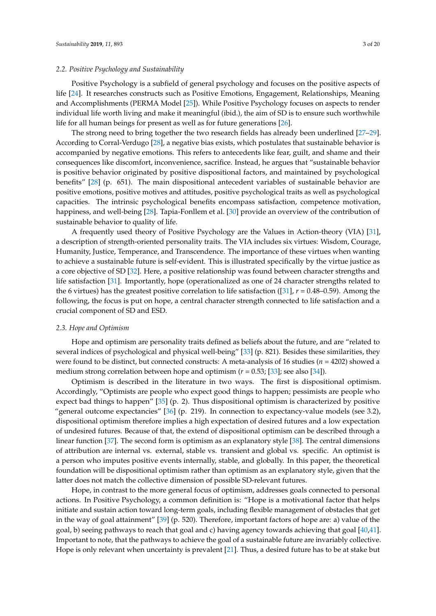## *2.2. Positive Psychology and Sustainability*

Positive Psychology is a subfield of general psychology and focuses on the positive aspects of life [\[24\]](#page-16-16). It researches constructs such as Positive Emotions, Engagement, Relationships, Meaning and Accomplishments (PERMA Model [\[25\]](#page-16-17)). While Positive Psychology focuses on aspects to render individual life worth living and make it meaningful (ibid.), the aim of SD is to ensure such worthwhile life for all human beings for present as well as for future generations [\[26\]](#page-16-18).

The strong need to bring together the two research fields has already been underlined [\[27–](#page-16-19)[29\]](#page-16-20). According to Corral-Verdugo [\[28\]](#page-16-21), a negative bias exists, which postulates that sustainable behavior is accompanied by negative emotions. This refers to antecedents like fear, guilt, and shame and their consequences like discomfort, inconvenience, sacrifice. Instead, he argues that "sustainable behavior is positive behavior originated by positive dispositional factors, and maintained by psychological benefits" [\[28\]](#page-16-21) (p. 651). The main dispositional antecedent variables of sustainable behavior are positive emotions, positive motives and attitudes, positive psychological traits as well as psychological capacities. The intrinsic psychological benefits encompass satisfaction, competence motivation, happiness, and well-being [\[28\]](#page-16-21). Tapia-Fonllem et al. [\[30\]](#page-16-22) provide an overview of the contribution of sustainable behavior to quality of life.

A frequently used theory of Positive Psychology are the Values in Action-theory (VIA) [\[31\]](#page-16-23), a description of strength-oriented personality traits. The VIA includes six virtues: Wisdom, Courage, Humanity, Justice, Temperance, and Transcendence. The importance of these virtues when wanting to achieve a sustainable future is self-evident. This is illustrated specifically by the virtue justice as a core objective of SD [\[32\]](#page-16-24). Here, a positive relationship was found between character strengths and life satisfaction [\[31\]](#page-16-23). Importantly, hope (operationalized as one of 24 character strengths related to the 6 virtues) has the greatest positive correlation to life satisfaction ( $\left[31\right]$ ,  $r = 0.48$ –0.59). Among the following, the focus is put on hope, a central character strength connected to life satisfaction and a crucial component of SD and ESD.

#### *2.3. Hope and Optimism*

Hope and optimism are personality traits defined as beliefs about the future, and are "related to several indices of psychological and physical well-being" [\[33\]](#page-17-0) (p. 821). Besides these similarities, they were found to be distinct, but connected constructs: A meta-analysis of 16 studies (*n* = 4202) showed a medium strong correlation between hope and optimism  $(r = 0.53; [33]$  $(r = 0.53; [33]$ ; see also [\[34\]](#page-17-1)).

Optimism is described in the literature in two ways. The first is dispositional optimism. Accordingly, "Optimists are people who expect good things to happen; pessimists are people who expect bad things to happen" [\[35\]](#page-17-2) (p. 2). Thus dispositional optimism is characterized by positive "general outcome expectancies" [\[36\]](#page-17-3) (p. 219). In connection to expectancy-value models (see 3.2), dispositional optimism therefore implies a high expectation of desired futures and a low expectation of undesired futures. Because of that, the extend of dispositional optimism can be described through a linear function [\[37\]](#page-17-4). The second form is optimism as an explanatory style [\[38\]](#page-17-5). The central dimensions of attribution are internal vs. external, stable vs. transient and global vs. specific. An optimist is a person who imputes positive events internally, stable, and globally. In this paper, the theoretical foundation will be dispositional optimism rather than optimism as an explanatory style, given that the latter does not match the collective dimension of possible SD-relevant futures.

Hope, in contrast to the more general focus of optimism, addresses goals connected to personal actions. In Positive Psychology, a common definition is: "Hope is a motivational factor that helps initiate and sustain action toward long-term goals, including flexible management of obstacles that get in the way of goal attainment" [\[39\]](#page-17-6) (p. 520). Therefore, important factors of hope are: a) value of the goal, b) seeing pathways to reach that goal and c) having agency towards achieving that goal [\[40,](#page-17-7)[41\]](#page-17-8). Important to note, that the pathways to achieve the goal of a sustainable future are invariably collective. Hope is only relevant when uncertainty is prevalent [\[21\]](#page-16-13). Thus, a desired future has to be at stake but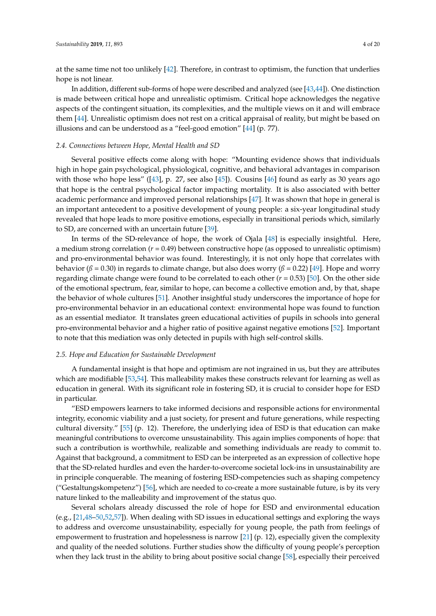at the same time not too unlikely [\[42\]](#page-17-9). Therefore, in contrast to optimism, the function that underlies hope is not linear.

In addition, different sub-forms of hope were described and analyzed (see [\[43](#page-17-10)[,44\]](#page-17-11)). One distinction is made between critical hope and unrealistic optimism. Critical hope acknowledges the negative aspects of the contingent situation, its complexities, and the multiple views on it and will embrace them [\[44\]](#page-17-11). Unrealistic optimism does not rest on a critical appraisal of reality, but might be based on illusions and can be understood as a "feel-good emotion" [\[44\]](#page-17-11) (p. 77).

#### *2.4. Connections between Hope, Mental Health and SD*

Several positive effects come along with hope: "Mounting evidence shows that individuals high in hope gain psychological, physiological, cognitive, and behavioral advantages in comparison with those who hope less" ([\[43\]](#page-17-10), p. 27, see also [\[45\]](#page-17-12)). Cousins [\[46\]](#page-17-13) found as early as 30 years ago that hope is the central psychological factor impacting mortality. It is also associated with better academic performance and improved personal relationships [\[47\]](#page-17-14). It was shown that hope in general is an important antecedent to a positive development of young people: a six-year longitudinal study revealed that hope leads to more positive emotions, especially in transitional periods which, similarly to SD, are concerned with an uncertain future [\[39\]](#page-17-6).

In terms of the SD-relevance of hope, the work of Ojala [\[48\]](#page-17-15) is especially insightful. Here, a medium strong correlation (*r* = 0.49) between constructive hope (as opposed to unrealistic optimism) and pro-environmental behavior was found. Interestingly, it is not only hope that correlates with behavior ( $\beta$  = 0.30) in regards to climate change, but also does worry ( $\beta$  = 0.22) [\[49\]](#page-17-16). Hope and worry regarding climate change were found to be correlated to each other (*r* = 0.53) [\[50\]](#page-17-17). On the other side of the emotional spectrum, fear, similar to hope, can become a collective emotion and, by that, shape the behavior of whole cultures [\[51\]](#page-17-18). Another insightful study underscores the importance of hope for pro-environmental behavior in an educational context: environmental hope was found to function as an essential mediator. It translates green educational activities of pupils in schools into general pro-environmental behavior and a higher ratio of positive against negative emotions [\[52\]](#page-17-19). Important to note that this mediation was only detected in pupils with high self-control skills.

## *2.5. Hope and Education for Sustainable Development*

A fundamental insight is that hope and optimism are not ingrained in us, but they are attributes which are modifiable [\[53](#page-17-20)[,54\]](#page-17-21). This malleability makes these constructs relevant for learning as well as education in general. With its significant role in fostering SD, it is crucial to consider hope for ESD in particular.

"ESD empowers learners to take informed decisions and responsible actions for environmental integrity, economic viability and a just society, for present and future generations, while respecting cultural diversity." [\[55\]](#page-17-22) (p. 12). Therefore, the underlying idea of ESD is that education can make meaningful contributions to overcome unsustainability. This again implies components of hope: that such a contribution is worthwhile, realizable and something individuals are ready to commit to. Against that background, a commitment to ESD can be interpreted as an expression of collective hope that the SD-related hurdles and even the harder-to-overcome societal lock-ins in unsustainability are in principle conquerable. The meaning of fostering ESD-competencies such as shaping competency ("Gestaltungskompetenz") [\[56\]](#page-17-23), which are needed to co-create a more sustainable future, is by its very nature linked to the malleability and improvement of the status quo.

Several scholars already discussed the role of hope for ESD and environmental education (e.g., [\[21](#page-16-13)[,48–](#page-17-15)[50](#page-17-17)[,52,](#page-17-19)[57\]](#page-17-24)). When dealing with SD issues in educational settings and exploring the ways to address and overcome unsustainability, especially for young people, the path from feelings of empowerment to frustration and hopelessness is narrow [\[21\]](#page-16-13) (p. 12), especially given the complexity and quality of the needed solutions. Further studies show the difficulty of young people's perception when they lack trust in the ability to bring about positive social change [\[58\]](#page-17-25), especially their perceived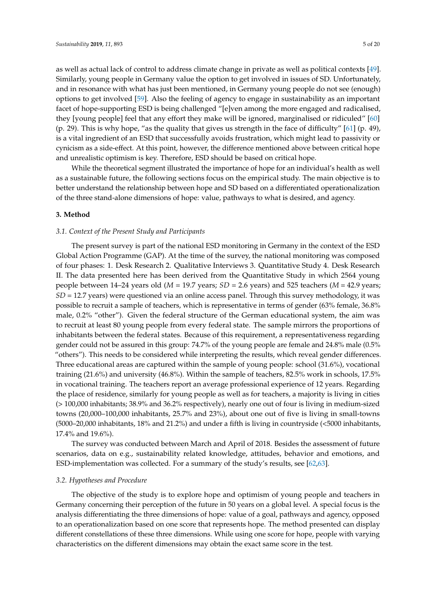as well as actual lack of control to address climate change in private as well as political contexts [\[49\]](#page-17-16). Similarly, young people in Germany value the option to get involved in issues of SD. Unfortunately, and in resonance with what has just been mentioned, in Germany young people do not see (enough) options to get involved [\[59\]](#page-17-26). Also the feeling of agency to engage in sustainability as an important facet of hope-supporting ESD is being challenged "[e]ven among the more engaged and radicalised, they [young people] feel that any effort they make will be ignored, marginalised or ridiculed" [\[60\]](#page-18-0) (p. 29). This is why hope, "as the quality that gives us strength in the face of difficulty" [\[61\]](#page-18-1) (p. 49), is a vital ingredient of an ESD that successfully avoids frustration, which might lead to passivity or cynicism as a side-effect. At this point, however, the difference mentioned above between critical hope and unrealistic optimism is key. Therefore, ESD should be based on critical hope.

While the theoretical segment illustrated the importance of hope for an individual's health as well as a sustainable future, the following sections focus on the empirical study. The main objective is to better understand the relationship between hope and SD based on a differentiated operationalization of the three stand-alone dimensions of hope: value, pathways to what is desired, and agency.

#### **3. Method**

## *3.1. Context of the Present Study and Participants*

The present survey is part of the national ESD monitoring in Germany in the context of the ESD Global Action Programme (GAP). At the time of the survey, the national monitoring was composed of four phases: 1. Desk Research 2. Qualitative Interviews 3. Quantitative Study 4. Desk Research II. The data presented here has been derived from the Quantitative Study in which 2564 young people between 14–24 years old (*M* = 19.7 years; *SD* = 2.6 years) and 525 teachers (*M* = 42.9 years; *SD* = 12.7 years) were questioned via an online access panel. Through this survey methodology, it was possible to recruit a sample of teachers, which is representative in terms of gender (63% female, 36.8% male, 0.2% "other"). Given the federal structure of the German educational system, the aim was to recruit at least 80 young people from every federal state. The sample mirrors the proportions of inhabitants between the federal states. Because of this requirement, a representativeness regarding gender could not be assured in this group: 74.7% of the young people are female and 24.8% male (0.5% "others"). This needs to be considered while interpreting the results, which reveal gender differences. Three educational areas are captured within the sample of young people: school (31.6%), vocational training (21.6%) and university (46.8%). Within the sample of teachers, 82.5% work in schools, 17.5% in vocational training. The teachers report an average professional experience of 12 years. Regarding the place of residence, similarly for young people as well as for teachers, a majority is living in cities (> 100,000 inhabitants; 38.9% and 36.2% respectively), nearly one out of four is living in medium-sized towns (20,000–100,000 inhabitants, 25.7% and 23%), about one out of five is living in small-towns (5000–20,000 inhabitants, 18% and 21.2%) and under a fifth is living in countryside (<5000 inhabitants, 17.4% and 19.6%).

The survey was conducted between March and April of 2018. Besides the assessment of future scenarios, data on e.g., sustainability related knowledge, attitudes, behavior and emotions, and ESD-implementation was collected. For a summary of the study's results, see [\[62,](#page-18-2)[63\]](#page-18-3).

#### *3.2. Hypotheses and Procedure*

The objective of the study is to explore hope and optimism of young people and teachers in Germany concerning their perception of the future in 50 years on a global level. A special focus is the analysis differentiating the three dimensions of hope: value of a goal, pathways and agency, opposed to an operationalization based on one score that represents hope. The method presented can display different constellations of these three dimensions. While using one score for hope, people with varying characteristics on the different dimensions may obtain the exact same score in the test.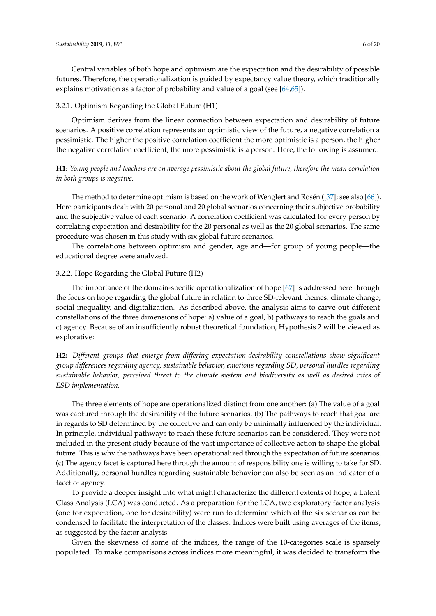Central variables of both hope and optimism are the expectation and the desirability of possible futures. Therefore, the operationalization is guided by expectancy value theory, which traditionally explains motivation as a factor of probability and value of a goal (see [\[64,](#page-18-4)[65\]](#page-18-5)).

# 3.2.1. Optimism Regarding the Global Future (H1)

Optimism derives from the linear connection between expectation and desirability of future scenarios. A positive correlation represents an optimistic view of the future, a negative correlation a pessimistic. The higher the positive correlation coefficient the more optimistic is a person, the higher the negative correlation coefficient, the more pessimistic is a person. Here, the following is assumed:

# **H1:** *Young people and teachers are on average pessimistic about the global future, therefore the mean correlation in both groups is negative.*

The method to determine optimism is based on the work of Wenglert and Rosén ([\[37\]](#page-17-4); see also [\[66\]](#page-18-6)). Here participants dealt with 20 personal and 20 global scenarios concerning their subjective probability and the subjective value of each scenario. A correlation coefficient was calculated for every person by correlating expectation and desirability for the 20 personal as well as the 20 global scenarios. The same procedure was chosen in this study with six global future scenarios.

The correlations between optimism and gender, age and—for group of young people—the educational degree were analyzed.

#### 3.2.2. Hope Regarding the Global Future (H2)

The importance of the domain-specific operationalization of hope [\[67\]](#page-18-7) is addressed here through the focus on hope regarding the global future in relation to three SD-relevant themes: climate change, social inequality, and digitalization. As described above, the analysis aims to carve out different constellations of the three dimensions of hope: a) value of a goal, b) pathways to reach the goals and c) agency. Because of an insufficiently robust theoretical foundation, Hypothesis 2 will be viewed as explorative:

**H2:** *Different groups that emerge from differing expectation-desirability constellations show significant group differences regarding agency, sustainable behavior, emotions regarding SD, personal hurdles regarding sustainable behavior, perceived threat to the climate system and biodiversity as well as desired rates of ESD implementation.*

The three elements of hope are operationalized distinct from one another: (a) The value of a goal was captured through the desirability of the future scenarios. (b) The pathways to reach that goal are in regards to SD determined by the collective and can only be minimally influenced by the individual. In principle, individual pathways to reach these future scenarios can be considered. They were not included in the present study because of the vast importance of collective action to shape the global future. This is why the pathways have been operationalized through the expectation of future scenarios. (c) The agency facet is captured here through the amount of responsibility one is willing to take for SD. Additionally, personal hurdles regarding sustainable behavior can also be seen as an indicator of a facet of agency.

To provide a deeper insight into what might characterize the different extents of hope, a Latent Class Analysis (LCA) was conducted. As a preparation for the LCA, two exploratory factor analysis (one for expectation, one for desirability) were run to determine which of the six scenarios can be condensed to facilitate the interpretation of the classes. Indices were built using averages of the items, as suggested by the factor analysis.

Given the skewness of some of the indices, the range of the 10-categories scale is sparsely populated. To make comparisons across indices more meaningful, it was decided to transform the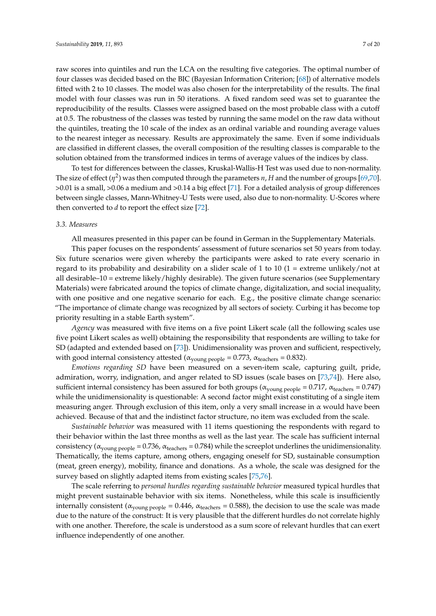raw scores into quintiles and run the LCA on the resulting five categories. The optimal number of four classes was decided based on the BIC (Bayesian Information Criterion; [\[68\]](#page-18-8)) of alternative models fitted with 2 to 10 classes. The model was also chosen for the interpretability of the results. The final model with four classes was run in 50 iterations. A fixed random seed was set to guarantee the reproducibility of the results. Classes were assigned based on the most probable class with a cutoff at 0.5. The robustness of the classes was tested by running the same model on the raw data without the quintiles, treating the 10 scale of the index as an ordinal variable and rounding average values to the nearest integer as necessary. Results are approximately the same. Even if some individuals are classified in different classes, the overall composition of the resulting classes is comparable to the solution obtained from the transformed indices in terms of average values of the indices by class.

To test for differences between the classes, Kruskal-Wallis-H Test was used due to non-normality. The size of effect ( $\eta^2$ ) was then computed through the parameters *n*, *H* and the number of groups [\[69](#page-18-9)[,70\]](#page-18-10). >0.01 is a small, >0.06 a medium and >0.14 a big effect [\[71\]](#page-18-11). For a detailed analysis of group differences between single classes, Mann-Whitney-U Tests were used, also due to non-normality. U-Scores where then converted to *d* to report the effect size [\[72\]](#page-18-12).

#### *3.3. Measures*

All measures presented in this paper can be found in German in the Supplementary Materials.

This paper focuses on the respondents' assessment of future scenarios set 50 years from today. Six future scenarios were given whereby the participants were asked to rate every scenario in regard to its probability and desirability on a slider scale of 1 to 10 (1 = extreme unlikely/not at all desirable–10 = extreme likely/highly desirable). The given future scenarios (see Supplementary Materials) were fabricated around the topics of climate change, digitalization, and social inequality, with one positive and one negative scenario for each. E.g., the positive climate change scenario: "The importance of climate change was recognized by all sectors of society. Curbing it has become top priority resulting in a stable Earth system".

*Agency* was measured with five items on a five point Likert scale (all the following scales use five point Likert scales as well) obtaining the responsibility that respondents are willing to take for SD (adapted and extended based on [\[73\]](#page-18-13)). Unidimensionality was proven and sufficient, respectively, with good internal consistency attested ( $\alpha_{\text{young people}} = 0.773$ ,  $\alpha_{\text{teaches}} = 0.832$ ).

*Emotions regarding SD* have been measured on a seven-item scale, capturing guilt, pride, admiration, worry, indignation, and anger related to SD issues (scale bases on [\[73,](#page-18-13)[74\]](#page-18-14)). Here also, sufficient internal consistency has been assured for both groups ( $\alpha_{\text{voung people}} = 0.717$ ,  $\alpha_{\text{teaches}} = 0.747$ ) while the unidimensionality is questionable: A second factor might exist constituting of a single item measuring anger. Through exclusion of this item, only a very small increase in  $\alpha$  would have been achieved. Because of that and the indistinct factor structure, no item was excluded from the scale.

*Sustainable behavior* was measured with 11 items questioning the respondents with regard to their behavior within the last three months as well as the last year. The scale has sufficient internal consistency ( $\alpha_{\text{young people}} = 0.736$ ,  $\alpha_{\text{teaches}} = 0.784$ ) while the screeplot underlines the unidimensionality. Thematically, the items capture, among others, engaging oneself for SD, sustainable consumption (meat, green energy), mobility, finance and donations. As a whole, the scale was designed for the survey based on slightly adapted items from existing scales [\[75,](#page-18-15)[76\]](#page-18-16).

The scale referring to *personal hurdles regarding sustainable behavior* measured typical hurdles that might prevent sustainable behavior with six items. Nonetheless, while this scale is insufficiently internally consistent ( $\alpha_{\text{young people}} = 0.446$ ,  $\alpha_{\text{teaches}} = 0.588$ ), the decision to use the scale was made due to the nature of the construct: It is very plausible that the different hurdles do not correlate highly with one another. Therefore, the scale is understood as a sum score of relevant hurdles that can exert influence independently of one another.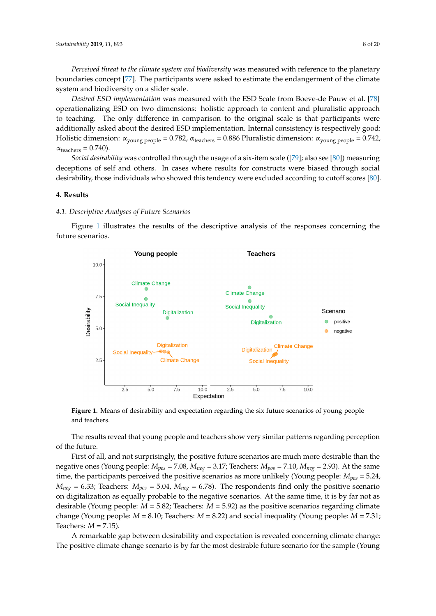*Perceived threat to the climate system and biodiversity* was measured with reference to the planetary boundaries concept [\[77\]](#page-18-17). The participants were asked to estimate the endangerment of the climate system and biodiversity on a slider scale.

*Desired ESD implementation* was measured with the ESD Scale from Boeve-de Pauw et al. [\[78\]](#page-18-18) operationalizing ESD on two dimensions: holistic approach to content and pluralistic approach to teaching. The only difference in comparison to the original scale is that participants were additionally asked about the desired ESD implementation. Internal consistency is respectively good: Holistic dimension:  $\alpha_{\text{young people}} = 0.782$ ,  $\alpha_{\text{teaches}} = 0.886$  Pluralistic dimension:  $\alpha_{\text{young people}} = 0.742$ ,  $\alpha_{\text{teaches}} = 0.740$ .

*Social desirability* was controlled through the usage of a six-item scale ([\[79\]](#page-18-19); also see [\[80\]](#page-18-20)) measuring deceptions of self and others. In cases where results for constructs were biased through social desirability, those individuals who showed this tendency were excluded according to cutoff scores [\[80\]](#page-18-20).

# **4. Results 4. Results**

## *4.1. Descriptive Analyses of Future Scenarios 4.1 Descriptive Analyses of Future Scenarios*

Figure [1](#page-7-0) illustrates the results of the descriptive analysis of the responses concerning the future scenarios. scenarios.

<span id="page-7-0"></span>

**Figure 1.** Means of desirability and expectation regarding the six future scenarios of young people **Figure 1.** Means of desirability and expectation regarding the six future scenarios of young people and teachers.

 $T_{\text{turb}}$ The results reveal that young people and teachers show very similar patterns regarding perception of the future.

First of all, and not surprisingly, the positive future scenarios are much more desirable than the negative ones (Young people:  $M_{pos} = 7.08$ ,  $M_{neg} = 3.17$ ; Teachers:  $M_{pos} = 7.10$ ,  $M_{neg} = 2.93$ ). At the same time, the participants perceived the positive scenarios as more unlikely (Young people:  $M_{pos} = 5.24$ ,  $M_{neg}$  = 6.33; Teachers:  $M_{pos}$  = 5.04,  $M_{neg}$  = 6.78). The respondents find only the positive scenario on digitalization as equally probable to the negative scenarios. At the same time, it is by far not as desirable (Young people:  $M = 5.82$ ; Teachers:  $M = 5.92$ ) as the positive scenarios regarding climate change (Young people:  $M = 8.10$ ; Teachers:  $M = 8.22$ ) and social inequality (Young people:  $M = 7.31$ ;  $Teaches: M = 7.15$ .

A remarkable gap between desirability and expectation is revealed concerning climate change: The positive climate change scenario is by far the most desirable future scenario for the sample (Young The positive change scenario is by far the most desirable future scenario for the sample future scenario for the sample future scenario for the sample future scenario for the sample future scenario for the sample future s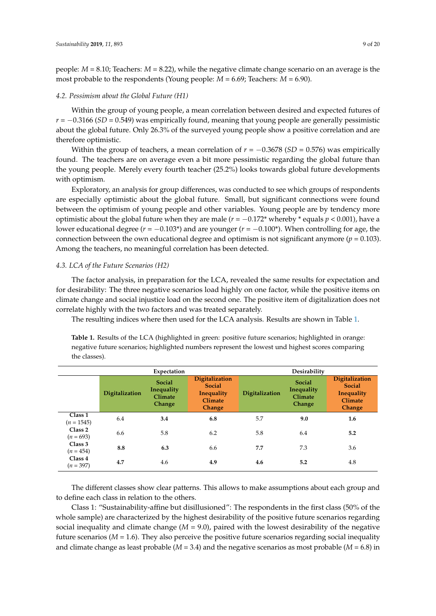people: *M* = 8.10; Teachers: *M* = 8.22), while the negative climate change scenario on an average is the most probable to the respondents (Young people: *M* = 6.69; Teachers: *M* = 6.90).

#### *4.2. Pessimism about the Global Future (H1)*

Within the group of young people, a mean correlation between desired and expected futures of  $r = -0.3166$  (*SD* = 0.549) was empirically found, meaning that young people are generally pessimistic about the global future. Only 26.3% of the surveyed young people show a positive correlation and are therefore optimistic.

Within the group of teachers, a mean correlation of  $r = -0.3678$  (*SD* = 0.576) was empirically found. The teachers are on average even a bit more pessimistic regarding the global future than the young people. Merely every fourth teacher (25.2%) looks towards global future developments with optimism.

Exploratory, an analysis for group differences, was conducted to see which groups of respondents are especially optimistic about the global future. Small, but significant connections were found between the optimism of young people and other variables. Young people are by tendency more optimistic about the global future when they are male (*r* = −0.172\* whereby \* equals *p* < 0.001), have a lower educational degree (*r* = −0.103\*) and are younger (*r* = −0.100\*). When controlling for age, the connection between the own educational degree and optimism is not significant anymore ( $p = 0.103$ ). Among the teachers, no meaningful correlation has been detected.

#### *4.3. LCA of the Future Scenarios (H2)*

The factor analysis, in preparation for the LCA, revealed the same results for expectation and for desirability: The three negative scenarios load highly on one factor, while the positive items on climate change and social injustice load on the second one. The positive item of digitalization does not correlate highly with the two factors and was treated separately.

The resulting indices where then used for the LCA analysis. Results are shown in Table [1.](#page-8-0)

<span id="page-8-0"></span>**Table 1.** Results of the LCA (highlighted in green: positive future scenarios; highlighted in orange: negative future scenarios; highlighted numbers represent the lowest und highest scores comparing the classes).

|                         |                       | Expectation                                      |                                                                                         |                       | Desirability                                            |                                                                                         |
|-------------------------|-----------------------|--------------------------------------------------|-----------------------------------------------------------------------------------------|-----------------------|---------------------------------------------------------|-----------------------------------------------------------------------------------------|
|                         | <b>Digitalization</b> | Social<br>Inequality<br>Climate<br><b>Change</b> | <b>Digitalization</b><br><b>Social</b><br>Inequality<br><b>Climate</b><br><b>Change</b> | <b>Digitalization</b> | <b>Social</b><br>Inequality<br>Climate<br><b>Change</b> | <b>Digitalization</b><br><b>Social</b><br>Inequality<br><b>Climate</b><br><b>Change</b> |
| Class 1<br>$(n = 1545)$ | 6.4                   | 3.4                                              | 6.8                                                                                     | 5.7                   | 9.0                                                     | 1.6                                                                                     |
| Class 2<br>$(n = 693)$  | 6.6                   | 5.8                                              | 6.2                                                                                     | 5.8                   | 6.4                                                     | 5.2                                                                                     |
| Class 3<br>$(n = 454)$  | 8.8                   | 6.3                                              | 6.6                                                                                     | 7.7                   | 7.3                                                     | 3.6                                                                                     |
| Class 4<br>$(n = 397)$  | 4.7                   | 4.6                                              | 4.9                                                                                     | 4.6                   | 5.2                                                     | 4.8                                                                                     |

The different classes show clear patterns. This allows to make assumptions about each group and to define each class in relation to the others.

Class 1: "Sustainability-affine but disillusioned": The respondents in the first class (50% of the whole sample) are characterized by the highest desirability of the positive future scenarios regarding social inequality and climate change  $(M = 9.0)$ , paired with the lowest desirability of the negative future scenarios  $(M = 1.6)$ . They also perceive the positive future scenarios regarding social inequality and climate change as least probable (*M* = 3.4) and the negative scenarios as most probable (*M* = 6.8) in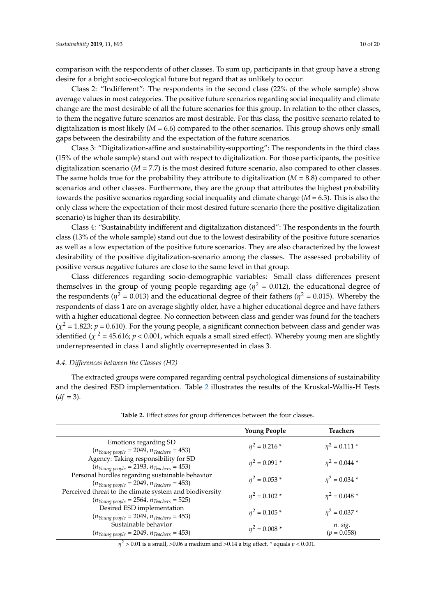comparison with the respondents of other classes. To sum up, participants in that group have a strong desire for a bright socio-ecological future but regard that as unlikely to occur.

Class 2: "Indifferent": The respondents in the second class (22% of the whole sample) show average values in most categories. The positive future scenarios regarding social inequality and climate change are the most desirable of all the future scenarios for this group. In relation to the other classes, to them the negative future scenarios are most desirable. For this class, the positive scenario related to digitalization is most likely (*M* = 6.6) compared to the other scenarios. This group shows only small gaps between the desirability and the expectation of the future scenarios.

Class 3: "Digitalization-affine and sustainability-supporting": The respondents in the third class (15% of the whole sample) stand out with respect to digitalization. For those participants, the positive digitalization scenario (*M* = 7.7) is the most desired future scenario, also compared to other classes. The same holds true for the probability they attribute to digitalization (*M* = 8.8) compared to other scenarios and other classes. Furthermore, they are the group that attributes the highest probability towards the positive scenarios regarding social inequality and climate change (*M* = 6.3). This is also the only class where the expectation of their most desired future scenario (here the positive digitalization scenario) is higher than its desirability.

Class 4: "Sustainability indifferent and digitalization distanced": The respondents in the fourth class (13% of the whole sample) stand out due to the lowest desirability of the positive future scenarios as well as a low expectation of the positive future scenarios. They are also characterized by the lowest desirability of the positive digitalization-scenario among the classes. The assessed probability of positive versus negative futures are close to the same level in that group.

Class differences regarding socio-demographic variables: Small class differences present themselves in the group of young people regarding age ( $\eta^2 = 0.012$ ), the educational degree of the respondents ( $\eta^2$  = 0.013) and the educational degree of their fathers ( $\eta^2$  = 0.015). Whereby the respondents of class 1 are on average slightly older, have a higher educational degree and have fathers with a higher educational degree. No connection between class and gender was found for the teachers  $(\chi^2$  = 1.823;  $p$  = 0.610). For the young people, a significant connection between class and gender was identified ( $\chi$   $^{2}$  = 45.616;  $p$  < 0.001, which equals a small sized effect). Whereby young men are slightly underrepresented in class 1 and slightly overrepresented in class 3.

## *4.4. Differences between the Classes (H2)*

The extracted groups were compared regarding central psychological dimensions of sustainability and the desired ESD implementation. Table [2](#page-9-0) illustrates the results of the Kruskal-Wallis-H Tests  $(df = 3).$ 

<span id="page-9-0"></span>

|                                                                                                            | <b>Young People</b> | <b>Teachers</b>          |
|------------------------------------------------------------------------------------------------------------|---------------------|--------------------------|
| Emotions regarding SD<br>$(n_{Young\ people} = 2049, n_{Teaches} = 453)$                                   | $n^2 = 0.216$ *     | $\eta^2 = 0.111$ *       |
| Agency: Taking responsibility for SD<br>$(n_{Young\ people} = 2193, n_{Teaches} = 453)$                    | $n^2 = 0.091$ *     | $\eta^2 = 0.044$ *       |
| Personal hurdles regarding sustainable behavior<br>$(n_{Young\ people} = 2049, n_{Teaches} = 453)$         | $\eta^2 = 0.053$ *  | $\eta^2 = 0.034$ *       |
| Perceived threat to the climate system and biodiversity<br>$(n_{Young\ people} = 2564, n_{Teaches} = 525)$ | $n^2 = 0.102$ *     | $\eta^2 = 0.048$ *       |
| Desired ESD implementation<br>$(n_{Young\ people} = 2049, n_{Teaches} = 453)$                              | $\eta^2 = 0.105$ *  | $\eta^2 = 0.037$ *       |
| Sustainable behavior<br>$(n_{Young\ people} = 2049, n_{Teaches} = 453)$                                    | $\eta^2 = 0.008$ *  | n. sig.<br>$(p = 0.058)$ |

**Table 2.** Effect sizes for group differences between the four classes.

*η* <sup>2</sup> > 0.01 is a small, >0.06 a medium and >0.14 a big effect. \* equals *p* < 0.001.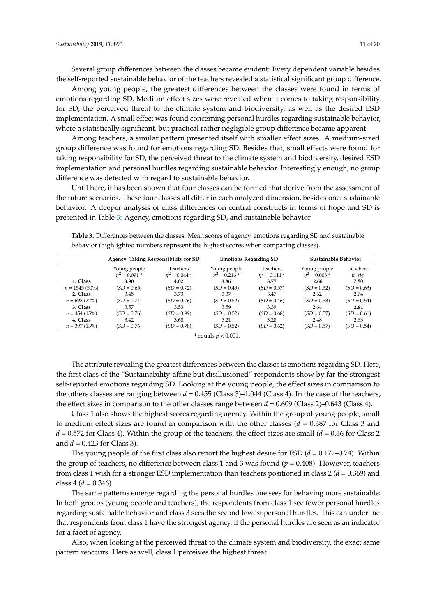Several group differences between the classes became evident: Every dependent variable besides the self-reported sustainable behavior of the teachers revealed a statistical significant group difference.

Among young people, the greatest differences between the classes were found in terms of emotions regarding SD. Medium effect sizes were revealed when it comes to taking responsibility for SD, the perceived threat to the climate system and biodiversity, as well as the desired ESD implementation. A small effect was found concerning personal hurdles regarding sustainable behavior, where a statistically significant, but practical rather negligible group difference became apparent.

Among teachers, a similar pattern presented itself with smaller effect sizes. A medium-sized group difference was found for emotions regarding SD. Besides that, small effects were found for taking responsibility for SD, the perceived threat to the climate system and biodiversity, desired ESD implementation and personal hurdles regarding sustainable behavior. Interestingly enough, no group difference was detected with regard to sustainable behavior.

Until here, it has been shown that four classes can be formed that derive from the assessment of the future scenarios. These four classes all differ in each analyzed dimension, besides one: sustainable behavior. A deeper analysis of class differences on central constructs in terms of hope and SD is presented in Table [3:](#page-10-0) Agency, emotions regarding SD, and sustainable behavior.

|                            | Agency: Taking Responsibility for SD |                             | <b>Emotions Regarding SD</b>    |                            | Sustainable Behavior            |                       |
|----------------------------|--------------------------------------|-----------------------------|---------------------------------|----------------------------|---------------------------------|-----------------------|
|                            |                                      |                             |                                 |                            |                                 |                       |
|                            | Young people<br>$n^2 = 0.091*$       | Teachers<br>$n^2 = 0.044$ * | Young people<br>$n^2 = 0.216$ * | Teachers<br>$n^2 = 0.111*$ | Young people<br>$n^2 = 0.008$ * | Teachers<br>n. sig.   |
| 1. Class                   | 3.90                                 | 4.02                        | 3.86                            | 3.77                       | 2.66                            | 2.80                  |
| $n = 1545(50\%)$           | $(SD = 0.65)$                        | $(SD = 0.72)$               | $(SD = 0.49)$                   | $(SD = 0.57)$              | $(SD = 0.52)$                   | $(SD = 0.63)$         |
| 2. Class                   | 3.45                                 | 3.73                        | 3.37                            | 3.47                       | 2.62                            | 2.74                  |
| $n = 693 (22\%)$           | $(SD = 0.74)$                        | $(SD = 0.76)$               | $(SD = 0.52)$                   | $(SD = 0.46)$              | $(SD = 0.53)$                   | $(SD = 0.54)$         |
| 3. Class                   | 3.57                                 | 3.53                        | 3.59                            | 3.39                       | 2.64                            | 2.81                  |
| $n = 454 (15%)$            | $(SD = 0.76)$                        | $(SD = 0.99)$               | $(SD = 0.52)$                   | $(SD = 0.68)$              | $(SD = 0.57)$                   | $(SD = 0.61)$         |
| 4. Class<br>$n = 397(13%)$ | 3.42<br>$(SD = 0.76)$                | 3.68<br>$(SD = 0.78)$       | 3.21<br>$(SD = 0.52)$           | 3.28<br>$(SD = 0.62)$      | 2.48<br>$(SD = 0.57)$           | 2.53<br>$(SD = 0.54)$ |

<span id="page-10-0"></span>**Table 3.** Differences between the classes: Mean scores of agency, emotions regarding SD and sustainable behavior (highlighted numbers represent the highest scores when comparing classes).

\* equals *p* < 0.001.

The attribute revealing the greatest differences between the classes is emotions regarding SD. Here, the first class of the "Sustainability-affine but disillusioned" respondents show by far the strongest self-reported emotions regarding SD. Looking at the young people, the effect sizes in comparison to the others classes are ranging between  $d = 0.455$  (Class 3)–1.044 (Class 4). In the case of the teachers, the effect sizes in comparison to the other classes range between *d* = 0.609 (Class 2)–0.643 (Class 4).

Class 1 also shows the highest scores regarding agency. Within the group of young people, small to medium effect sizes are found in comparison with the other classes  $(d = 0.387)$  for Class 3 and  $d = 0.572$  for Class 4). Within the group of the teachers, the effect sizes are small ( $d = 0.36$  for Class 2) and  $d = 0.423$  for Class 3).

The young people of the first class also report the highest desire for ESD  $(d = 0.172-0.74)$ . Within the group of teachers, no difference between class 1 and 3 was found ( $p = 0.408$ ). However, teachers from class 1 wish for a stronger ESD implementation than teachers positioned in class 2 (*d* = 0.369) and class  $4 (d = 0.346)$ .

The same patterns emerge regarding the personal hurdles one sees for behaving more sustainable: In both groups (young people and teachers), the respondents from class 1 see fewer personal hurdles regarding sustainable behavior and class 3 sees the second fewest personal hurdles. This can underline that respondents from class 1 have the strongest agency, if the personal hurdles are seen as an indicator for a facet of agency.

Also, when looking at the perceived threat to the climate system and biodiversity, the exact same pattern reoccurs. Here as well, class 1 perceives the highest threat.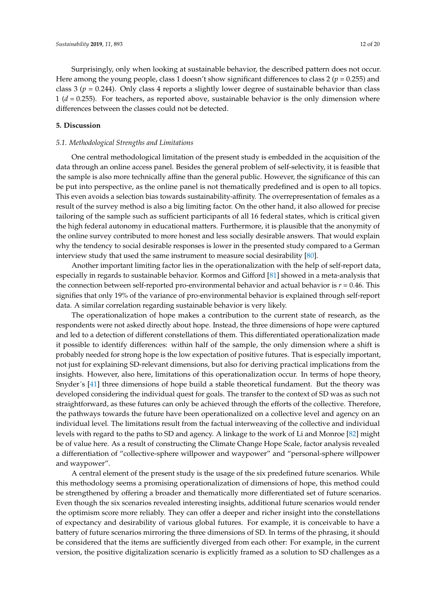Surprisingly, only when looking at sustainable behavior, the described pattern does not occur. Here among the young people, class 1 doesn't show significant differences to class 2 ( $p = 0.255$ ) and class 3 ( $p = 0.244$ ). Only class 4 reports a slightly lower degree of sustainable behavior than class 1 (*d* = 0.255). For teachers, as reported above, sustainable behavior is the only dimension where differences between the classes could not be detected.

# **5. Discussion**

#### *5.1. Methodological Strengths and Limitations*

One central methodological limitation of the present study is embedded in the acquisition of the data through an online access panel. Besides the general problem of self-selectivity, it is feasible that the sample is also more technically affine than the general public. However, the significance of this can be put into perspective, as the online panel is not thematically predefined and is open to all topics. This even avoids a selection bias towards sustainability-affinity. The overrepresentation of females as a result of the survey method is also a big limiting factor. On the other hand, it also allowed for precise tailoring of the sample such as sufficient participants of all 16 federal states, which is critical given the high federal autonomy in educational matters. Furthermore, it is plausible that the anonymity of the online survey contributed to more honest and less socially desirable answers. That would explain why the tendency to social desirable responses is lower in the presented study compared to a German interview study that used the same instrument to measure social desirability [\[80\]](#page-18-20).

Another important limiting factor lies in the operationalization with the help of self-report data, especially in regards to sustainable behavior. Kormos and Gifford [\[81\]](#page-18-21) showed in a meta-analysis that the connection between self-reported pro-environmental behavior and actual behavior is  $r = 0.46$ . This signifies that only 19% of the variance of pro-environmental behavior is explained through self-report data. A similar correlation regarding sustainable behavior is very likely.

The operationalization of hope makes a contribution to the current state of research, as the respondents were not asked directly about hope. Instead, the three dimensions of hope were captured and led to a detection of different constellations of them. This differentiated operationalization made it possible to identify differences: within half of the sample, the only dimension where a shift is probably needed for strong hope is the low expectation of positive futures. That is especially important, not just for explaining SD-relevant dimensions, but also for deriving practical implications from the insights. However, also here, limitations of this operationalization occur. In terms of hope theory, Snyder´s [\[41\]](#page-17-8) three dimensions of hope build a stable theoretical fundament. But the theory was developed considering the individual quest for goals. The transfer to the context of SD was as such not straightforward, as these futures can only be achieved through the efforts of the collective. Therefore, the pathways towards the future have been operationalized on a collective level and agency on an individual level. The limitations result from the factual interweaving of the collective and individual levels with regard to the paths to SD and agency. A linkage to the work of Li and Monroe [\[82\]](#page-18-22) might be of value here. As a result of constructing the Climate Change Hope Scale, factor analysis revealed a differentiation of "collective-sphere willpower and waypower" and "personal-sphere willpower and waypower".

A central element of the present study is the usage of the six predefined future scenarios. While this methodology seems a promising operationalization of dimensions of hope, this method could be strengthened by offering a broader and thematically more differentiated set of future scenarios. Even though the six scenarios revealed interesting insights, additional future scenarios would render the optimism score more reliably. They can offer a deeper and richer insight into the constellations of expectancy and desirability of various global futures. For example, it is conceivable to have a battery of future scenarios mirroring the three dimensions of SD. In terms of the phrasing, it should be considered that the items are sufficiently diverged from each other: For example, in the current version, the positive digitalization scenario is explicitly framed as a solution to SD challenges as a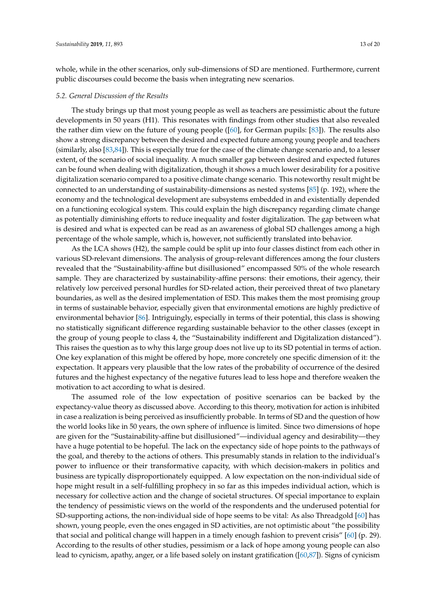whole, while in the other scenarios, only sub-dimensions of SD are mentioned. Furthermore, current public discourses could become the basis when integrating new scenarios.

#### *5.2. General Discussion of the Results*

The study brings up that most young people as well as teachers are pessimistic about the future developments in 50 years (H1). This resonates with findings from other studies that also revealed the rather dim view on the future of young people ([\[60\]](#page-18-0), for German pupils: [\[83\]](#page-18-23)). The results also show a strong discrepancy between the desired and expected future among young people and teachers (similarly, also [\[83,](#page-18-23)[84\]](#page-18-24)). This is especially true for the case of the climate change scenario and, to a lesser extent, of the scenario of social inequality. A much smaller gap between desired and expected futures can be found when dealing with digitalization, though it shows a much lower desirability for a positive digitalization scenario compared to a positive climate change scenario. This noteworthy result might be connected to an understanding of sustainability-dimensions as nested systems [\[85\]](#page-19-0) (p. 192), where the economy and the technological development are subsystems embedded in and existentially depended on a functioning ecological system. This could explain the high discrepancy regarding climate change as potentially diminishing efforts to reduce inequality and foster digitalization. The gap between what is desired and what is expected can be read as an awareness of global SD challenges among a high percentage of the whole sample, which is, however, not sufficiently translated into behavior.

As the LCA shows (H2), the sample could be split up into four classes distinct from each other in various SD-relevant dimensions. The analysis of group-relevant differences among the four clusters revealed that the "Sustainability-affine but disillusioned" encompassed 50% of the whole research sample. They are characterized by sustainability-affine persons: their emotions, their agency, their relatively low perceived personal hurdles for SD-related action, their perceived threat of two planetary boundaries, as well as the desired implementation of ESD. This makes them the most promising group in terms of sustainable behavior, especially given that environmental emotions are highly predictive of environmental behavior [\[86\]](#page-19-1). Intriguingly, especially in terms of their potential, this class is showing no statistically significant difference regarding sustainable behavior to the other classes (except in the group of young people to class 4, the "Sustainability indifferent and Digitalization distanced"). This raises the question as to why this large group does not live up to its SD potential in terms of action. One key explanation of this might be offered by hope, more concretely one specific dimension of it: the expectation. It appears very plausible that the low rates of the probability of occurrence of the desired futures and the highest expectancy of the negative futures lead to less hope and therefore weaken the motivation to act according to what is desired.

The assumed role of the low expectation of positive scenarios can be backed by the expectancy-value theory as discussed above. According to this theory, motivation for action is inhibited in case a realization is being perceived as insufficiently probable. In terms of SD and the question of how the world looks like in 50 years, the own sphere of influence is limited. Since two dimensions of hope are given for the "Sustainability-affine but disillusioned"—individual agency and desirability—they have a huge potential to be hopeful. The lack on the expectancy side of hope points to the pathways of the goal, and thereby to the actions of others. This presumably stands in relation to the individual's power to influence or their transformative capacity, with which decision-makers in politics and business are typically disproportionately equipped. A low expectation on the non-individual side of hope might result in a self-fulfilling prophecy in so far as this impedes individual action, which is necessary for collective action and the change of societal structures. Of special importance to explain the tendency of pessimistic views on the world of the respondents and the underused potential for SD-supporting actions, the non-individual side of hope seems to be vital: As also Threadgold [\[60\]](#page-18-0) has shown, young people, even the ones engaged in SD activities, are not optimistic about "the possibility that social and political change will happen in a timely enough fashion to prevent crisis" [\[60\]](#page-18-0) (p. 29). According to the results of other studies, pessimism or a lack of hope among young people can also lead to cynicism, apathy, anger, or a life based solely on instant gratification ([\[60,](#page-18-0)[87\]](#page-19-2)). Signs of cynicism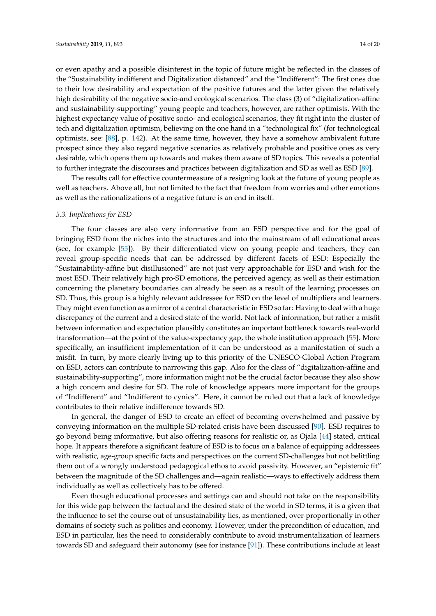or even apathy and a possible disinterest in the topic of future might be reflected in the classes of the "Sustainability indifferent and Digitalization distanced" and the "Indifferent": The first ones due to their low desirability and expectation of the positive futures and the latter given the relatively high desirability of the negative socio-and ecological scenarios. The class (3) of "digitalization-affine and sustainability-supporting" young people and teachers, however, are rather optimists. With the highest expectancy value of positive socio- and ecological scenarios, they fit right into the cluster of tech and digitalization optimism, believing on the one hand in a "technological fix" (for technological optimists, see: [\[88\]](#page-19-3), p. 142). At the same time, however, they have a somehow ambivalent future prospect since they also regard negative scenarios as relatively probable and positive ones as very desirable, which opens them up towards and makes them aware of SD topics. This reveals a potential to further integrate the discourses and practices between digitalization and SD as well as ESD [\[89\]](#page-19-4).

The results call for effective countermeasure of a resigning look at the future of young people as well as teachers. Above all, but not limited to the fact that freedom from worries and other emotions as well as the rationalizations of a negative future is an end in itself.

#### *5.3. Implications for ESD*

The four classes are also very informative from an ESD perspective and for the goal of bringing ESD from the niches into the structures and into the mainstream of all educational areas (see, for example [\[55\]](#page-17-22)). By their differentiated view on young people and teachers, they can reveal group-specific needs that can be addressed by different facets of ESD: Especially the "Sustainability-affine but disillusioned" are not just very approachable for ESD and wish for the most ESD. Their relatively high pro-SD emotions, the perceived agency, as well as their estimation concerning the planetary boundaries can already be seen as a result of the learning processes on SD. Thus, this group is a highly relevant addressee for ESD on the level of multipliers and learners. They might even function as a mirror of a central characteristic in ESD so far: Having to deal with a huge discrepancy of the current and a desired state of the world. Not lack of information, but rather a misfit between information and expectation plausibly constitutes an important bottleneck towards real-world transformation—at the point of the value-expectancy gap, the whole institution approach [\[55\]](#page-17-22). More specifically, an insufficient implementation of it can be understood as a manifestation of such a misfit. In turn, by more clearly living up to this priority of the UNESCO-Global Action Program on ESD, actors can contribute to narrowing this gap. Also for the class of "digitalization-affine and sustainability-supporting", more information might not be the crucial factor because they also show a high concern and desire for SD. The role of knowledge appears more important for the groups of "Indifferent" and "Indifferent to cynics". Here, it cannot be ruled out that a lack of knowledge contributes to their relative indifference towards SD.

In general, the danger of ESD to create an effect of becoming overwhelmed and passive by conveying information on the multiple SD-related crisis have been discussed [\[90\]](#page-19-5). ESD requires to go beyond being informative, but also offering reasons for realistic or, as Ojala [\[44\]](#page-17-11) stated, critical hope. It appears therefore a significant feature of ESD is to focus on a balance of equipping addressees with realistic, age-group specific facts and perspectives on the current SD-challenges but not belittling them out of a wrongly understood pedagogical ethos to avoid passivity. However, an "epistemic fit" between the magnitude of the SD challenges and—again realistic—ways to effectively address them individually as well as collectively has to be offered.

Even though educational processes and settings can and should not take on the responsibility for this wide gap between the factual and the desired state of the world in SD terms, it is a given that the influence to set the course out of unsustainability lies, as mentioned, over-proportionally in other domains of society such as politics and economy. However, under the precondition of education, and ESD in particular, lies the need to considerably contribute to avoid instrumentalization of learners towards SD and safeguard their autonomy (see for instance [\[91\]](#page-19-6)). These contributions include at least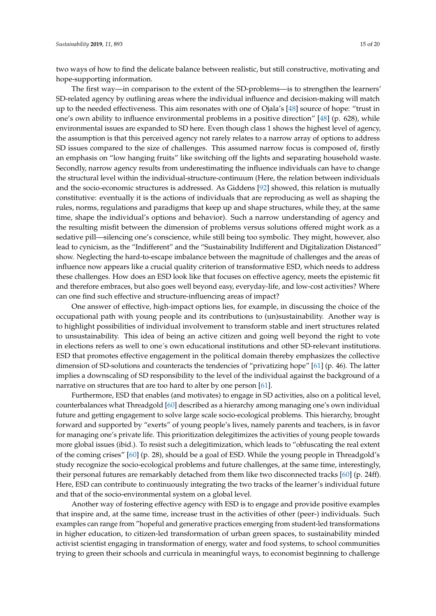two ways of how to find the delicate balance between realistic, but still constructive, motivating and hope-supporting information.

The first way—in comparison to the extent of the SD-problems—is to strengthen the learners' SD-related agency by outlining areas where the individual influence and decision-making will match up to the needed effectiveness. This aim resonates with one of Ojala's [\[48\]](#page-17-15) source of hope: "trust in one's own ability to influence environmental problems in a positive direction" [\[48\]](#page-17-15) (p. 628), while environmental issues are expanded to SD here. Even though class 1 shows the highest level of agency, the assumption is that this perceived agency not rarely relates to a narrow array of options to address SD issues compared to the size of challenges. This assumed narrow focus is composed of, firstly an emphasis on "low hanging fruits" like switching off the lights and separating household waste. Secondly, narrow agency results from underestimating the influence individuals can have to change the structural level within the individual-structure-continuum (Here, the relation between individuals and the socio-economic structures is addressed. As Giddens [\[92\]](#page-19-7) showed, this relation is mutually constitutive: eventually it is the actions of individuals that are reproducing as well as shaping the rules, norms, regulations and paradigms that keep up and shape structures, while they, at the same time, shape the individual's options and behavior). Such a narrow understanding of agency and the resulting misfit between the dimension of problems versus solutions offered might work as a sedative pill—silencing one's conscience, while still being too symbolic. They might, however, also lead to cynicism, as the "Indifferent" and the "Sustainability Indifferent and Digitalization Distanced" show. Neglecting the hard-to-escape imbalance between the magnitude of challenges and the areas of influence now appears like a crucial quality criterion of transformative ESD, which needs to address these challenges. How does an ESD look like that focuses on effective agency, meets the epistemic fit and therefore embraces, but also goes well beyond easy, everyday-life, and low-cost activities? Where can one find such effective and structure-influencing areas of impact?

One answer of effective, high-impact options lies, for example, in discussing the choice of the occupational path with young people and its contributions to (un)sustainability. Another way is to highlight possibilities of individual involvement to transform stable and inert structures related to unsustainability. This idea of being an active citizen and going well beyond the right to vote in elections refers as well to one´s own educational institutions and other SD-relevant institutions. ESD that promotes effective engagement in the political domain thereby emphasizes the collective dimension of SD-solutions and counteracts the tendencies of "privatizing hope" [\[61\]](#page-18-1) (p. 46). The latter implies a downscaling of SD responsibility to the level of the individual against the background of a narrative on structures that are too hard to alter by one person [\[61\]](#page-18-1).

Furthermore, ESD that enables (and motivates) to engage in SD activities, also on a political level, counterbalances what Threadgold [\[60\]](#page-18-0) described as a hierarchy among managing one's own individual future and getting engagement to solve large scale socio-ecological problems. This hierarchy, brought forward and supported by "exerts" of young people's lives, namely parents and teachers, is in favor for managing one's private life. This prioritization delegitimizes the activities of young people towards more global issues (ibid.). To resist such a delegitimization, which leads to "obfuscating the real extent of the coming crises" [\[60\]](#page-18-0) (p. 28), should be a goal of ESD. While the young people in Threadgold's study recognize the socio-ecological problems and future challenges, at the same time, interestingly, their personal futures are remarkably detached from them like two disconnected tracks [\[60\]](#page-18-0) (p. 24ff). Here, ESD can contribute to continuously integrating the two tracks of the learner's individual future and that of the socio-environmental system on a global level.

Another way of fostering effective agency with ESD is to engage and provide positive examples that inspire and, at the same time, increase trust in the activities of other (peer-) individuals. Such examples can range from "hopeful and generative practices emerging from student-led transformations in higher education, to citizen-led transformation of urban green spaces, to sustainability minded activist scientist engaging in transformation of energy, water and food systems, to school communities trying to green their schools and curricula in meaningful ways, to economist beginning to challenge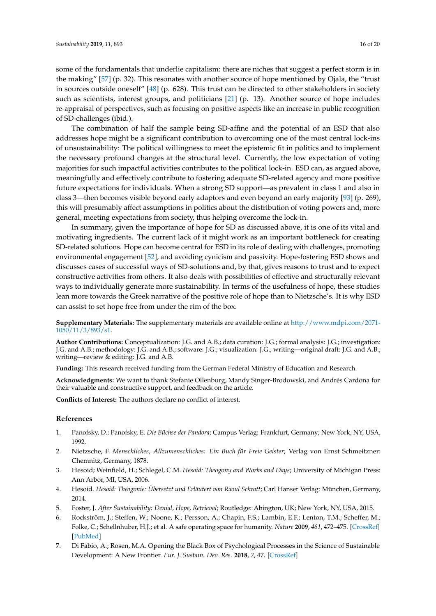some of the fundamentals that underlie capitalism: there are niches that suggest a perfect storm is in the making" [\[57\]](#page-17-24) (p. 32). This resonates with another source of hope mentioned by Ojala, the "trust in sources outside oneself" [\[48\]](#page-17-15) (p. 628). This trust can be directed to other stakeholders in society such as scientists, interest groups, and politicians [\[21\]](#page-16-13) (p. 13). Another source of hope includes re-appraisal of perspectives, such as focusing on positive aspects like an increase in public recognition of SD-challenges (ibid.).

The combination of half the sample being SD-affine and the potential of an ESD that also addresses hope might be a significant contribution to overcoming one of the most central lock-ins of unsustainability: The political willingness to meet the epistemic fit in politics and to implement the necessary profound changes at the structural level. Currently, the low expectation of voting majorities for such impactful activities contributes to the political lock-in. ESD can, as argued above, meaningfully and effectively contribute to fostering adequate SD-related agency and more positive future expectations for individuals. When a strong SD support—as prevalent in class 1 and also in class 3—then becomes visible beyond early adaptors and even beyond an early majority [\[93\]](#page-19-8) (p. 269), this will presumably affect assumptions in politics about the distribution of voting powers and, more general, meeting expectations from society, thus helping overcome the lock-in.

In summary, given the importance of hope for SD as discussed above, it is one of its vital and motivating ingredients. The current lack of it might work as an important bottleneck for creating SD-related solutions. Hope can become central for ESD in its role of dealing with challenges, promoting environmental engagement [\[52\]](#page-17-19), and avoiding cynicism and passivity. Hope-fostering ESD shows and discusses cases of successful ways of SD-solutions and, by that, gives reasons to trust and to expect constructive activities from others. It also deals with possibilities of effective and structurally relevant ways to individually generate more sustainability. In terms of the usefulness of hope, these studies lean more towards the Greek narrative of the positive role of hope than to Nietzsche's. It is why ESD can assist to set hope free from under the rim of the box.

**Supplementary Materials:** The supplementary materials are available online at [http://www.mdpi.com/2071-](http://www.mdpi.com/2071-1050/11/3/893/s1) [1050/11/3/893/s1.](http://www.mdpi.com/2071-1050/11/3/893/s1)

**Author Contributions:** Conceptualization: J.G. and A.B.; data curation: J.G.; formal analysis: J.G.; investigation: J.G. and A.B.; methodology: J.G. and A.B.; software: J.G.; visualization: J.G.; writing—original draft: J.G. and A.B.; writing—review & editing: J.G. and A.B.

**Funding:** This research received funding from the German Federal Ministry of Education and Research.

**Acknowledgments:** We want to thank Stefanie Ollenburg, Mandy Singer-Brodowski, and Andrés Cardona for their valuable and constructive support, and feedback on the article.

**Conflicts of Interest:** The authors declare no conflict of interest.

## **References**

- <span id="page-15-0"></span>1. Panofsky, D.; Panofsky, E. *Die Büchse der Pandora*; Campus Verlag: Frankfurt, Germany; New York, NY, USA, 1992.
- <span id="page-15-1"></span>2. Nietzsche, F. *Menschliches, Allzumenschliches: Ein Buch für Freie Geister*; Verlag von Ernst Schmeitzner: Chemnitz, Germany, 1878.
- <span id="page-15-2"></span>3. Hesoid; Weinfield, H.; Schlegel, C.M. *Hesoid: Theogony and Works and Days*; University of Michigan Press: Ann Arbor, MI, USA, 2006.
- <span id="page-15-3"></span>4. Hesoid. *Hesoid: Theogonie: Übersetzt und Erläutert von Raoul Schrott*; Carl Hanser Verlag: München, Germany, 2014.
- <span id="page-15-4"></span>5. Foster, J. *After Sustainability: Denial, Hope, Retrieval*; Routledge: Abington, UK; New York, NY, USA, 2015.
- <span id="page-15-5"></span>6. Rockström, J.; Steffen, W.; Noone, K.; Persson, A.; Chapin, F.S.; Lambin, E.F.; Lenton, T.M.; Scheffer, M.; Folke, C.; Schellnhuber, H.J.; et al. A safe operating space for humanity. *Nature* **2009**, *461*, 472–475. [\[CrossRef\]](http://dx.doi.org/10.1038/461472a) [\[PubMed\]](http://www.ncbi.nlm.nih.gov/pubmed/19779433)
- <span id="page-15-6"></span>7. Di Fabio, A.; Rosen, M.A. Opening the Black Box of Psychological Processes in the Science of Sustainable Development: A New Frontier. *Eur. J. Sustain. Dev. Res.* **2018**, *2*, 47. [\[CrossRef\]](http://dx.doi.org/10.20897/ejosdr/3933)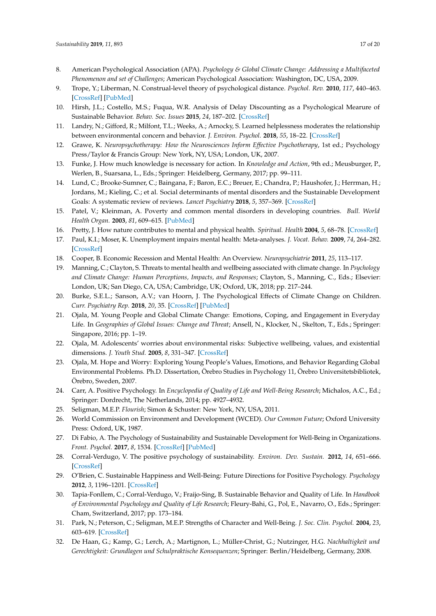- <span id="page-16-0"></span>8. American Psychological Association (APA). *Psychology & Global Climate Change: Addressing a Multifaceted Phenomenon and set of Challenges*; American Psychological Association: Washington, DC, USA, 2009.
- <span id="page-16-1"></span>9. Trope, Y.; Liberman, N. Construal-level theory of psychological distance. *Psychol. Rev.* **2010**, *117*, 440–463. [\[CrossRef\]](http://dx.doi.org/10.1037/a0018963) [\[PubMed\]](http://www.ncbi.nlm.nih.gov/pubmed/20438233)
- <span id="page-16-2"></span>10. Hirsh, J.L.; Costello, M.S.; Fuqua, W.R. Analysis of Delay Discounting as a Psychological Mearure of Sustainable Behavior. *Behav. Soc. Issues* **2015**, *24*, 187–202. [\[CrossRef\]](http://dx.doi.org/10.5210/bsi.v24i0.5906)
- <span id="page-16-3"></span>11. Landry, N.; Gifford, R.; Milfont, T.L.; Weeks, A.; Arnocky, S. Learned helplessness moderates the relationship between environmental concern and behavior. *J. Environ. Psychol.* **2018**, *55*, 18–22. [\[CrossRef\]](http://dx.doi.org/10.1016/j.jenvp.2017.12.003)
- <span id="page-16-4"></span>12. Grawe, K. *Neuropsychotherapy: How the Neurosciences Inform Effective Psychotherapy*, 1st ed.; Psychology Press/Taylor & Francis Group: New York, NY, USA; London, UK, 2007.
- <span id="page-16-5"></span>13. Funke, J. How much knowledge is necessary for action. In *Knowledge and Action*, 9th ed.; Meusburger, P., Werlen, B., Suarsana, L., Eds.; Springer: Heidelberg, Germany, 2017; pp. 99–111.
- <span id="page-16-6"></span>14. Lund, C.; Brooke-Sumner, C.; Baingana, F.; Baron, E.C.; Breuer, E.; Chandra, P.; Haushofer, J.; Herrman, H.; Jordans, M.; Kieling, C.; et al. Social determinants of mental disorders and the Sustainable Development Goals: A systematic review of reviews. *Lancet Psychiatry* **2018**, *5*, 357–369. [\[CrossRef\]](http://dx.doi.org/10.1016/S2215-0366(18)30060-9)
- <span id="page-16-7"></span>15. Patel, V.; Kleinman, A. Poverty and common mental disorders in developing countries. *Bull. World Health Organ.* **2003**, *81*, 609–615. [\[PubMed\]](http://www.ncbi.nlm.nih.gov/pubmed/14576893)
- <span id="page-16-8"></span>16. Pretty, J. How nature contributes to mental and physical health. *Spiritual. Health* **2004**, *5*, 68–78. [\[CrossRef\]](http://dx.doi.org/10.1002/shi.220)
- <span id="page-16-9"></span>17. Paul, K.I.; Moser, K. Unemployment impairs mental health: Meta-analyses. *J. Vocat. Behav.* **2009**, *74*, 264–282. [\[CrossRef\]](http://dx.doi.org/10.1016/j.jvb.2009.01.001)
- <span id="page-16-10"></span>18. Cooper, B. Economic Recession and Mental Health: An Overview. *Neuropsychiatrie* **2011**, *25*, 113–117.
- <span id="page-16-11"></span>19. Manning, C.; Clayton, S. Threats to mental health and wellbeing associated with climate change. In *Psychology and Climate Change: Human Perceptions, Impacts, and Responses*; Clayton, S., Manning, C., Eds.; Elsevier: London, UK; San Diego, CA, USA; Cambridge, UK; Oxford, UK, 2018; pp. 217–244.
- <span id="page-16-12"></span>20. Burke, S.E.L.; Sanson, A.V.; van Hoorn, J. The Psychological Effects of Climate Change on Children. *Curr. Psychiatry Rep.* **2018**, *20*, 35. [\[CrossRef\]](http://dx.doi.org/10.1007/s11920-018-0896-9) [\[PubMed\]](http://www.ncbi.nlm.nih.gov/pubmed/29637319)
- <span id="page-16-13"></span>21. Ojala, M. Young People and Global Climate Change: Emotions, Coping, and Engagement in Everyday Life. In *Geographies of Global Issues: Change and Threat*; Ansell, N., Klocker, N., Skelton, T., Eds.; Springer: Singapore, 2016; pp. 1–19.
- <span id="page-16-14"></span>22. Ojala, M. Adolescents' worries about environmental risks: Subjective wellbeing, values, and existential dimensions. *J. Youth Stud.* **2005**, *8*, 331–347. [\[CrossRef\]](http://dx.doi.org/10.1080/13676260500261934)
- <span id="page-16-15"></span>23. Ojala, M. Hope and Worry: Exploring Young People's Values, Emotions, and Behavior Regarding Global Environmental Problems. Ph.D. Dissertation, Örebro Studies in Psychology 11, Örebro Universitetsbibliotek, Örebro, Sweden, 2007.
- <span id="page-16-16"></span>24. Carr, A. Positive Psychology. In *Encyclopedia of Quality of Life and Well-Being Research*; Michalos, A.C., Ed.; Springer: Dordrecht, The Netherlands, 2014; pp. 4927–4932.
- <span id="page-16-17"></span>25. Seligman, M.E.P. *Flourish*; Simon & Schuster: New York, NY, USA, 2011.
- <span id="page-16-18"></span>26. World Commission on Environment and Development (WCED). *Our Common Future*; Oxford University Press: Oxford, UK, 1987.
- <span id="page-16-19"></span>27. Di Fabio, A. The Psychology of Sustainability and Sustainable Development for Well-Being in Organizations. *Front. Psychol.* **2017**, *8*, 1534. [\[CrossRef\]](http://dx.doi.org/10.3389/fpsyg.2017.01534) [\[PubMed\]](http://www.ncbi.nlm.nih.gov/pubmed/28974935)
- <span id="page-16-21"></span>28. Corral-Verdugo, V. The positive psychology of sustainability. *Environ. Dev. Sustain.* **2012**, *14*, 651–666. [\[CrossRef\]](http://dx.doi.org/10.1007/s10668-012-9346-8)
- <span id="page-16-20"></span>29. O'Brien, C. Sustainable Happiness and Well-Being: Future Directions for Positive Psychology. *Psychology* **2012**, *3*, 1196–1201. [\[CrossRef\]](http://dx.doi.org/10.4236/psych.2012.312A177)
- <span id="page-16-22"></span>30. Tapia-Fonllem, C.; Corral-Verdugo, V.; Fraijo-Sing, B. Sustainable Behavior and Quality of Life. In *Handbook of Environmental Psychology and Quality of Life Research*; Fleury-Bahi, G., Pol, E., Navarro, O., Eds.; Springer: Cham, Switzerland, 2017; pp. 173–184.
- <span id="page-16-23"></span>31. Park, N.; Peterson, C.; Seligman, M.E.P. Strengths of Character and Well-Being. *J. Soc. Clin. Psychol.* **2004**, *23*, 603–619. [\[CrossRef\]](http://dx.doi.org/10.1521/jscp.23.5.603.50748)
- <span id="page-16-24"></span>32. De Haan, G.; Kamp, G.; Lerch, A.; Martignon, L.; Müller-Christ, G.; Nutzinger, H.G. *Nachhaltigkeit und Gerechtigkeit: Grundlagen und Schulpraktische Konsequenzen*; Springer: Berlin/Heidelberg, Germany, 2008.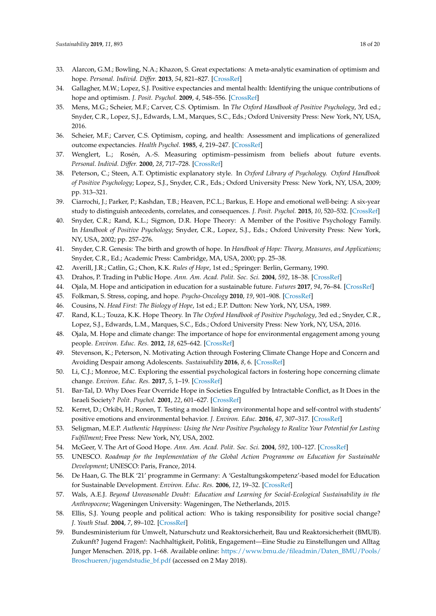- <span id="page-17-0"></span>33. Alarcon, G.M.; Bowling, N.A.; Khazon, S. Great expectations: A meta-analytic examination of optimism and hope. *Personal. Individ. Differ.* **2013**, *54*, 821–827. [\[CrossRef\]](http://dx.doi.org/10.1016/j.paid.2012.12.004)
- <span id="page-17-1"></span>34. Gallagher, M.W.; Lopez, S.J. Positive expectancies and mental health: Identifying the unique contributions of hope and optimism. *J. Posit. Psychol.* **2009**, *4*, 548–556. [\[CrossRef\]](http://dx.doi.org/10.1080/17439760903157166)
- <span id="page-17-2"></span>35. Mens, M.G.; Scheier, M.F.; Carver, C.S. Optimism. In *The Oxford Handbook of Positive Psychology*, 3rd ed.; Snyder, C.R., Lopez, S.J., Edwards, L.M., Marques, S.C., Eds.; Oxford University Press: New York, NY, USA, 2016.
- <span id="page-17-3"></span>36. Scheier, M.F.; Carver, C.S. Optimism, coping, and health: Assessment and implications of generalized outcome expectancies. *Health Psychol.* **1985**, *4*, 219–247. [\[CrossRef\]](http://dx.doi.org/10.1037/0278-6133.4.3.219)
- <span id="page-17-4"></span>37. Wenglert, L.; Rosén, A.-S. Measuring optimism–pessimism from beliefs about future events. *Personal. Individ. Differ.* **2000**, *28*, 717–728. [\[CrossRef\]](http://dx.doi.org/10.1016/S0191-8869(99)00133-6)
- <span id="page-17-5"></span>38. Peterson, C.; Steen, A.T. Optimistic explanatory style. In *Oxford Library of Psychology. Oxford Handbook of Positive Psychology*; Lopez, S.J., Snyder, C.R., Eds.; Oxford University Press: New York, NY, USA, 2009; pp. 313–321.
- <span id="page-17-6"></span>39. Ciarrochi, J.; Parker, P.; Kashdan, T.B.; Heaven, P.C.L.; Barkus, E. Hope and emotional well-being: A six-year study to distinguish antecedents, correlates, and consequences. *J. Posit. Psychol.* **2015**, *10*, 520–532. [\[CrossRef\]](http://dx.doi.org/10.1080/17439760.2015.1015154)
- <span id="page-17-7"></span>40. Snyder, C.R.; Rand, K.L.; Sigmon, D.R. Hope Theory: A Member of the Positive Psychology Family. In *Handbook of Positive Psychology*; Snyder, C.R., Lopez, S.J., Eds.; Oxford University Press: New York, NY, USA, 2002; pp. 257–276.
- <span id="page-17-8"></span>41. Snyder, C.R. Genesis: The birth and growth of hope. In *Handbook of Hope: Theory, Measures, and Applications*; Snyder, C.R., Ed.; Academic Press: Cambridge, MA, USA, 2000; pp. 25–38.
- <span id="page-17-9"></span>42. Averill, J.R.; Catlin, G.; Chon, K.K. *Rules of Hope*, 1st ed.; Springer: Berlin, Germany, 1990.
- <span id="page-17-10"></span>43. Drahos, P. Trading in Public Hope. *Ann. Am. Acad. Polit. Soc. Sci.* **2004**, *592*, 18–38. [\[CrossRef\]](http://dx.doi.org/10.1177/0002716203261614)
- <span id="page-17-11"></span>44. Ojala, M. Hope and anticipation in education for a sustainable future. *Futures* **2017**, *94*, 76–84. [\[CrossRef\]](http://dx.doi.org/10.1016/j.futures.2016.10.004)
- <span id="page-17-12"></span>45. Folkman, S. Stress, coping, and hope. *Psycho-Oncology* **2010**, *19*, 901–908. [\[CrossRef\]](http://dx.doi.org/10.1002/pon.1836)
- <span id="page-17-13"></span>46. Cousins, N. *Head First: The Biology of Hope*, 1st ed.; E.P. Dutton: New York, NY, USA, 1989.
- <span id="page-17-14"></span>47. Rand, K.L.; Touza, K.K. Hope Theory. In *The Oxford Handbook of Positive Psychology*, 3rd ed.; Snyder, C.R., Lopez, S.J., Edwards, L.M., Marques, S.C., Eds.; Oxford University Press: New York, NY, USA, 2016.
- <span id="page-17-15"></span>48. Ojala, M. Hope and climate change: The importance of hope for environmental engagement among young people. *Environ. Educ. Res.* **2012**, *18*, 625–642. [\[CrossRef\]](http://dx.doi.org/10.1080/13504622.2011.637157)
- <span id="page-17-16"></span>49. Stevenson, K.; Peterson, N. Motivating Action through Fostering Climate Change Hope and Concern and Avoiding Despair among Adolescents. *Sustainability* **2016**, *8*, 6. [\[CrossRef\]](http://dx.doi.org/10.3390/su8010006)
- <span id="page-17-17"></span>50. Li, C.J.; Monroe, M.C. Exploring the essential psychological factors in fostering hope concerning climate change. *Environ. Educ. Res.* **2017**, *5*, 1–19. [\[CrossRef\]](http://dx.doi.org/10.1080/13504622.2017.1367916)
- <span id="page-17-18"></span>51. Bar-Tal, D. Why Does Fear Override Hope in Societies Engulfed by Intractable Conflict, as It Does in the Israeli Society? *Polit. Psychol.* **2001**, *22*, 601–627. [\[CrossRef\]](http://dx.doi.org/10.1111/0162-895X.00255)
- <span id="page-17-19"></span>52. Kerret, D.; Orkibi, H.; Ronen, T. Testing a model linking environmental hope and self-control with students' positive emotions and environmental behavior. *J. Environ. Educ.* **2016**, *47*, 307–317. [\[CrossRef\]](http://dx.doi.org/10.1080/00958964.2016.1182886)
- <span id="page-17-20"></span>53. Seligman, M.E.P. *Authentic Happiness: Using the New Positive Psychology to Realize Your Potential for Lasting Fulfillment*; Free Press: New York, NY, USA, 2002.
- <span id="page-17-22"></span><span id="page-17-21"></span>54. McGeer, V. The Art of Good Hope. *Ann. Am. Acad. Polit. Soc. Sci.* **2004**, *592*, 100–127. [\[CrossRef\]](http://dx.doi.org/10.1177/0002716203261781)
- 55. UNESCO. *Roadmap for the Implementation of the Global Action Programme on Education for Sustainable Development*; UNESCO: Paris, France, 2014.
- <span id="page-17-23"></span>56. De Haan, G. The BLK '21' programme in Germany: A 'Gestaltungskompetenz'-based model for Education for Sustainable Development. *Environ. Educ. Res.* **2006**, *12*, 19–32. [\[CrossRef\]](http://dx.doi.org/10.1080/13504620500526362)
- <span id="page-17-24"></span>57. Wals, A.E.J. *Beyond Unreasonable Doubt: Education and Learning for Social-Ecological Sustainability in the Anthropocene*; Wageningen University: Wageningen, The Netherlands, 2015.
- <span id="page-17-25"></span>58. Ellis, S.J. Young people and political action: Who is taking responsibility for positive social change? *J. Youth Stud.* **2004**, *7*, 89–102. [\[CrossRef\]](http://dx.doi.org/10.1080/1367626042000209976)
- <span id="page-17-26"></span>59. Bundesministerium für Umwelt, Naturschutz und Reaktorsicherheit, Bau und Reaktorsicherheit (BMUB). Zukunft? Jugend Fragen!: Nachhaltigkeit, Politik, Engagement—Eine Studie zu Einstellungen und Alltag Junger Menschen. 2018, pp. 1–68. Available online: [https://www.bmu.de/fileadmin/Daten\\_BMU/Pools/](https://www.bmu.de/fileadmin/Daten_BMU/Pools/Broschueren/jugendstudie_bf.pdf) [Broschueren/jugendstudie\\_bf.pdf](https://www.bmu.de/fileadmin/Daten_BMU/Pools/Broschueren/jugendstudie_bf.pdf) (accessed on 2 May 2018).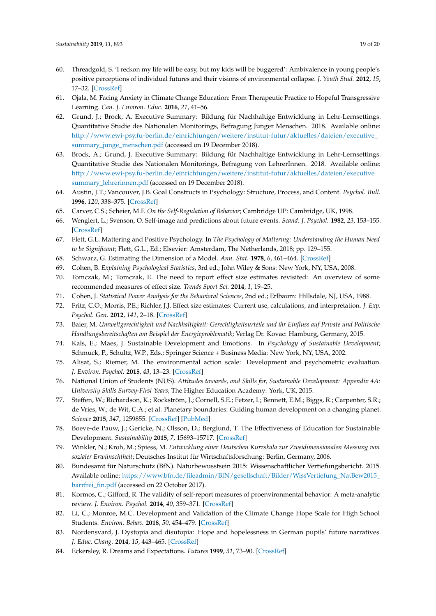- <span id="page-18-0"></span>60. Threadgold, S. 'I reckon my life will be easy, but my kids will be buggered': Ambivalence in young people's positive perceptions of individual futures and their visions of environmental collapse. *J. Youth Stud.* **2012**, *15*, 17–32. [\[CrossRef\]](http://dx.doi.org/10.1080/13676261.2011.618490)
- <span id="page-18-1"></span>61. Ojala, M. Facing Anxiety in Climate Change Education: From Therapeutic Practice to Hopeful Transgressive Learning. *Can. J. Environ. Educ.* **2016**, *21*, 41–56.
- <span id="page-18-2"></span>62. Grund, J.; Brock, A. Executive Summary: Bildung für Nachhaltige Entwicklung in Lehr-Lernsettings. Quantitative Studie des Nationalen Monitorings, Befragung Junger Menschen. 2018. Available online: [http://www.ewi-psy.fu-berlin.de/einrichtungen/weitere/institut-futur/aktuelles/dateien/executive\\_](http://www.ewi-psy.fu-berlin.de/einrichtungen/weitere/institut-futur/aktuelles/dateien/executive_summary_junge_menschen.pdf) [summary\\_junge\\_menschen.pdf](http://www.ewi-psy.fu-berlin.de/einrichtungen/weitere/institut-futur/aktuelles/dateien/executive_summary_junge_menschen.pdf) (accessed on 19 December 2018).
- <span id="page-18-3"></span>63. Brock, A.; Grund, J. Executive Summary: Bildung für Nachhaltige Entwicklung in Lehr-Lernsettings. Quantitative Studie des Nationalen Monitorings, Befragung von LehrerInnen. 2018. Available online: [http://www.ewi-psy.fu-berlin.de/einrichtungen/weitere/institut-futur/aktuelles/dateien/executive\\_](http://www.ewi-psy.fu-berlin.de/einrichtungen/weitere/institut-futur/aktuelles/dateien/executive_summary_lehrerinnen.pdf) [summary\\_lehrerinnen.pdf](http://www.ewi-psy.fu-berlin.de/einrichtungen/weitere/institut-futur/aktuelles/dateien/executive_summary_lehrerinnen.pdf) (accessed on 19 December 2018).
- <span id="page-18-4"></span>64. Austin, J.T.; Vancouver, J.B. Goal Constructs in Psychology: Structure, Process, and Content. *Psychol. Bull.* **1996**, *120*, 338–375. [\[CrossRef\]](http://dx.doi.org/10.1037/0033-2909.120.3.338)
- <span id="page-18-5"></span>65. Carver, C.S.; Scheier, M.F. *On the Self-Regulation of Behavior*; Cambridge UP: Cambridge, UK, 1998.
- <span id="page-18-6"></span>66. Wenglert, L.; Svenson, O. Self-image and predictions about future events. *Scand. J. Psychol.* **1982**, *23*, 153–155. [\[CrossRef\]](http://dx.doi.org/10.1111/j.1467-9450.1982.tb00428.x)
- <span id="page-18-7"></span>67. Flett, G.L. Mattering and Positive Psychology. In *The Psychology of Mattering: Understanding the Human Need to be Significant*; Flett, G.L., Ed.; Elsevier: Amsterdam, The Netherlands, 2018; pp. 129–155.
- <span id="page-18-9"></span><span id="page-18-8"></span>68. Schwarz, G. Estimating the Dimension of a Model. *Ann. Stat.* **1978**, *6*, 461–464. [\[CrossRef\]](http://dx.doi.org/10.1214/aos/1176344136)
- 69. Cohen, B. *Explaining Psychological Statistics*, 3rd ed.; John Wiley & Sons: New York, NY, USA, 2008.
- <span id="page-18-10"></span>70. Tomczak, M.; Tomczak, E. The need to report effect size estimates revisited: An overview of some recommended measures of effect size. *Trends Sport Sci.* **2014**, *1*, 19–25.
- <span id="page-18-11"></span>71. Cohen, J. *Statistical Power Analysis for the Behavioral Sciences*, 2nd ed.; Erlbaum: Hillsdale, NJ, USA, 1988.
- <span id="page-18-12"></span>72. Fritz, C.O.; Morris, P.E.; Richler, J.J. Effect size estimates: Current use, calculations, and interpretation. *J. Exp. Psychol. Gen.* **2012**, *141*, 2–18. [\[CrossRef\]](http://dx.doi.org/10.1037/a0024338)
- <span id="page-18-13"></span>73. Baier, M. *Umweltgerechtigkeit und Nachhaltigkeit: Gerechtigkeitsurteile und ihr Einfluss auf Private und Politische Handlungsbereitschaften am Beispiel der Energieproblematik*; Verlag Dr. Kovac: Hamburg, Germany, 2015.
- <span id="page-18-14"></span>74. Kals, E.; Maes, J. Sustainable Development and Emotions. In *Psychology of Sustainable Development*; Schmuck, P., Schultz, W.P., Eds.; Springer Science + Business Media: New York, NY, USA, 2002.
- <span id="page-18-15"></span>75. Alisat, S.; Riemer, M. The environmental action scale: Development and psychometric evaluation. *J. Environ. Psychol.* **2015**, *43*, 13–23. [\[CrossRef\]](http://dx.doi.org/10.1016/j.jenvp.2015.05.006)
- <span id="page-18-16"></span>76. National Union of Students (NUS). *Attitudes towards, and Skills for, Sustainable Development: Appendix 4A: University Skills Survey-First Years*; The Higher Education Academy: York, UK, 2015.
- <span id="page-18-17"></span>77. Steffen, W.; Richardson, K.; Rockström, J.; Cornell, S.E.; Fetzer, I.; Bennett, E.M.; Biggs, R.; Carpenter, S.R.; de Vries, W.; de Wit, C.A.; et al. Planetary boundaries: Guiding human development on a changing planet. *Science* **2015**, *347*, 1259855. [\[CrossRef\]](http://dx.doi.org/10.1126/science.1259855) [\[PubMed\]](http://www.ncbi.nlm.nih.gov/pubmed/25592418)
- <span id="page-18-18"></span>78. Boeve-de Pauw, J.; Gericke, N.; Olsson, D.; Berglund, T. The Effectiveness of Education for Sustainable Development. *Sustainability* **2015**, *7*, 15693–15717. [\[CrossRef\]](http://dx.doi.org/10.3390/su71115693)
- <span id="page-18-19"></span>79. Winkler, N.; Kroh, M.; Spiess, M. *Entwicklung einer Deutschen Kurzskala zur Zweidimensionalen Messung von sozialer Erwünschtheit*; Deutsches Institut für Wirtschaftsforschung: Berlin, Germany, 2006.
- <span id="page-18-20"></span>80. Bundesamt für Naturschutz (BfN). Naturbewusstsein 2015: Wissenschaftlicher Vertiefungsbericht. 2015. Available online: [https://www.bfn.de/fileadmin/BfN/gesellschaft/Bilder/WissVertiefung\\_NatBew2015\\_](https://www.bfn.de/fileadmin/BfN/gesellschaft/Bilder/WissVertiefung_NatBew2015_barrfrei_fin.pdf) [barrfrei\\_fin.pdf](https://www.bfn.de/fileadmin/BfN/gesellschaft/Bilder/WissVertiefung_NatBew2015_barrfrei_fin.pdf) (accessed on 22 October 2017).
- <span id="page-18-21"></span>81. Kormos, C.; Gifford, R. The validity of self-report measures of proenvironmental behavior: A meta-analytic review. *J. Environ. Psychol.* **2014**, *40*, 359–371. [\[CrossRef\]](http://dx.doi.org/10.1016/j.jenvp.2014.09.003)
- <span id="page-18-22"></span>82. Li, C.; Monroe, M.C. Development and Validation of the Climate Change Hope Scale for High School Students. *Environ. Behav.* **2018**, *50*, 454–479. [\[CrossRef\]](http://dx.doi.org/10.1177/0013916517708325)
- <span id="page-18-23"></span>83. Nordensvard, J. Dystopia and disutopia: Hope and hopelessness in German pupils' future narratives. *J. Educ. Chang.* **2014**, *15*, 443–465. [\[CrossRef\]](http://dx.doi.org/10.1007/s10833-014-9237-x)
- <span id="page-18-24"></span>84. Eckersley, R. Dreams and Expectations. *Futures* **1999**, *31*, 73–90. [\[CrossRef\]](http://dx.doi.org/10.1016/S0016-3287(98)00111-6)